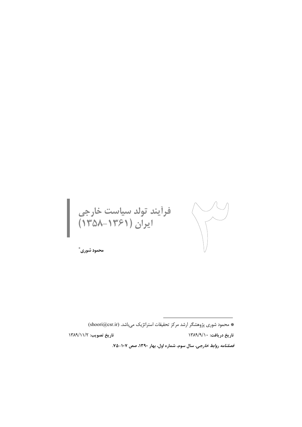فراًیند تولد سیاست خارجی<br>ایران (۱۳۶۱–۱۳۵۸) 

محمود شوري ٌ

\* محمود شوری پژوهشگر ارشد مرکز تحقیقات استراتژیک می باشد. (shoori@csr.ir)

تاريخ تصويب: ١٣٨٩/١١/٢

تاريخ دريافت: ١٣٨٩/٩/١٠

قصلنامه روابط خارجى، سال سوم، شماره اول، بهار ١٣٩٠، صص ١٠٧-٧٥.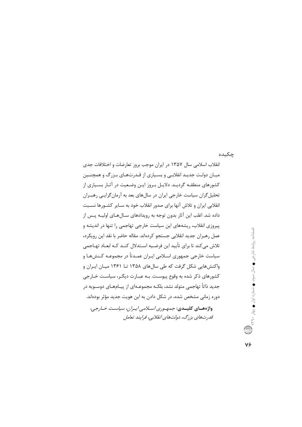## جكىدە

انقلاب اسلامی سال ۱۳۵۷ در ایران موجب بروز تعارضات و اختلافات جدی میـان دولـت جدیـد انقلابـی و بسـیاری از قـدرتهـای بـزرگ و همچنـین کشورهای منطقـه گردیـد. دلایـل بـروز ایـن وضـعیت در آثـار بسـیاری از تحلیل گران سیاست خارجی ایران در سالهای بعد به آرمان گرایبی رهبـران انقلابی ایران و تلاش آنها برای صدور انقلاب خود به سـایر کشـورها نسـبت داده شد. اغلب این آثار بدون توجه به رویدادهای سـالهـای اولیـه پـس از پیروزی انقلاب، ریشههای این سیاست خارجی تهاجمی را تنها در اندیشه و عمل رهبران جديد انقلابي جستجو كردهاند. مقاله حاضر با نقد اين رويكرد، تلاش می کند تا برای تأیید این فرضـیه اسـتدلال کنـد کـه ابعـاد تهـاجمی سیاست خارجی جمهوری اسـلامی ایـران عمـدتاً در مجموعـه کـنشهـا و واکنشهایی شکل گرفت که طی سالهای ۱۳۵۸ تــا ۱۳۶۱ میـان ایـران و کشورهای ذکر شده به وقوع پیوست. بـه عبـارت دیگـر، سیاسـت خـارجی جدید ذاتاً تهاجمی متولد نشد، بلکـه مجموعـهای از پیـامهـای دوسـویه در دوره زمانی مشخص شده، در شکل دادن به این هویت جدید مؤثر بودهاند. واژه هسای کلیسدی: جمههوری اسلامی ایسران، سیاست خبارجی، قدرتهای بزرگ، دولتهای انقلابی، فرایند تعامل

فصلنامه روابط خارجی ♦ سال سوم ♦ شماره اول ♦ بهار ٣٩٫٠٪ ( ...) V۶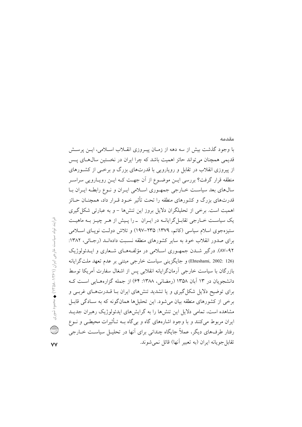با وجود گذشت بیش از سه دهه از زمـان پیـروزی انقــلاب اســلامی، ایــن پرســش قدیمی همچنان می تواند حائز اهمیت باشد که چرا ایران در نخستین سال۱های پـس از پیروزی انقلاب در تقابل و رویارویی با قدرتهای بزرگ و برخبی از کشورهای منطقه قرار گرفت؟ بررسی ایــن موضــوع از آن جهــت کــه ایــن رویــارویی سراســر سال@های بعد سیاسـت خــارجی جمهـوری اســلامی ایــران و نــوع رابطــه ایــران بــا قدرتهای بزرگ و کشورهای منطقه را تحت تأثیر خـود قـرار داد، همچنــان حــائز اهمیت است. برخی از تحلیلگران دلایل بروز این تنش۱۰ – و به عبارتی شکل گیری یک سیاست خـارجی تقابـل گرایانــه در ایــران درا پـیش از هــر چیــز بــه ماهیــت ستیزهجوی اسلام سیاسی (کاتم، ۱۳۷۹: ۲۳۵–۱۹۷) و تلاش دولت نویـای اسـلامی برای صدور انقلاب خود به سایر کشورهای منطقه نسبت دادهانـد (رجـائی، ۱۳۸۲: ۹۲-۸۷). درگیر شـدن جمهـوری اسـلامی در مؤلفـههـای شـعاری و ایـدئولوژیک (Ehteshami, 2002: 126) و جايگزيني سياست خارجي مبتني بر عدم تعهد ملت گرايانه بازرگان با سیاست خارجی آرمانگرایانه انقلابی پس از اشغال سفارت آمریکا توسط دانشجویان در ۱۳ آبان ۱۳۵۸ (رمضانی، ۱۳۸۸: ۶۴) از جمله گزارههایی است ک برای توضیح دلایل شکل گیری و یا تشدید تنش های ایران بـا قــدرتهـای غربـی و برخی از کشورهای منطقه بیان می شود. این تحلیلها همانگونه که به سـادگی قابـل مشاهده است، تمامی دلایل این تنشها را به گرایشهای ایدئولوژیک رهبران جدیـد ایران مربوط میکنند و با وجود اشارههای گاه و بی گاه بــه تــأثیرات محیطــی و نــوع رفتار طرفهای دیگر، عملاً جایگاه چندانی برای آنها در تحلیـل سیاسـت خــارجی تقابل جو يانه ايران (به تعبير آنها) قائل نمي شوند.

مقدمه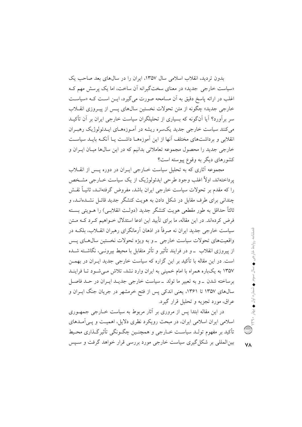بدون تردید، انقلاب اسلامی سال ۱۳۵۷، ایران را در سال های بعد صاحب یک «سیاست خارجی جدید» در معنای سختگیرانه آن ساخت، اما یک پرسش مهم ک اغلب در ارائه پاسخ دقیق به آن مسامحه صورت میگیرد، ایــن اسـت کــه «سیاســت خارجي جديد» چڱونه از متن تحولات نخستين سال&اي پيس از پيپروزي انقيلاب سر برآورد؟ آیا آنگونه که بسیاری از تحلیلگران سیاست خارجی ایران بر آن تأکیــد می کنند سیاست خارجی جدید یکسره ریشه در آمـوزههـای ایـدئولوژیک رهبـران انقلابی و برداشتهای مختلف آنها از این آموزههـا داشـت یـا آنکـه بایـد سیاسـت خارجی جدید را محصول مجموعه تعاملاتی بدانیم که در این سالها میـان ایــران و کشورهای دیگر به وقوع پیوسته است؟

مجموعه آثاری که به تحلیل سیاست خبارجی ایبران در دوره پیس از انقبلاب یرداختهاند، اولاً اغلب وجود طرحی ایدئولوژیک از یک سیاست خــارجی مشــخص را که مقدم بر تحولات سیاست خارجی ایران باشد، مفروض گرفتهانـد، ثانیــاً نقــش چندانی برای طرف مقابل در شکل دادن به هویت کنشگر جدید قائبل نشیدهانید، و ثالثاً حداقل به طور مقطعی هویت کنشگر جدید (دولـت انقلابـی) را هــویتی بســته فرض کردهاند. در این مقاله، ما برای تأیید این ادعا استدلال خــواهیم کــرد کــه مــتن سیاست خارجی جدید ایران نه صرفاً در اذهان آرمانگرای رهبران انقــلاب، بلکــه در واقعیتهای تحولات سیاست خارجی \_و به ویژه تحولات نخستین سال های پـس از پیروزی انقلاب ً ــ و در فرایند تأثیر و تأثر متقابل با محیط بیرونــی، نگاشــته شــده است. در این مقاله با تأکید بر این گزاره که سیاست خارجی جدید ایـران در بهمــن ۱۳۵۷ به یکباره همراه با امام خمینی به ایران وارد نشد، تلاش مبی شـود تـا فراینـد برساخته شدن ـ و به تعبیر ما تولد ـ سیاست خارجی جدیـد ایـران در حـد فاصـل سالهای ۱۳۵۷ تا ۱۳۶۱، یعنی اندکی پس از فتح خرمشهر در جریان جنگ ایــران و عراق، مورد تجزیه و تحلیل قرار گیرد.

در این مقاله ابتدا پس از مروری بر آثار مربوط به سیاست خــارجی جمهـوری اسلامی ایران اسلامی ایران، در مبحث رویکرد نظری دلایل، اهمیت و یسی آمـدهای تأكيد بر مفهوم تولـد سياسـت خــارجي و همچنــين چگــونگي تأثيرگــذاري محـيط بین|لمللی بر شکل گیری سیاست خارجی مورد بررسی قرار خواهد گرفت و سبیس فصلتامه روابط خارجي ♦ سال سوم ♦ شماره اول ♦ بهار ٢٩٠

**VA**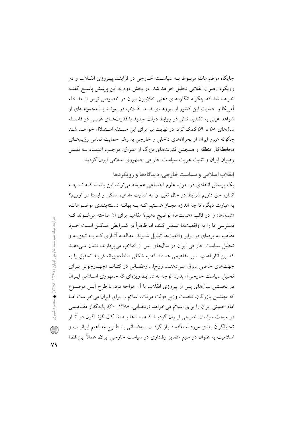انقلاب اسلامی و سیاست خارجی: دیدگاهها و رویکردها یک پرسش انتقادی در حوزه علوم اجتماعی همیشه میتواند این باشـد کـه تـا چـه اندازه حق داریم شرایط در حال تغییر را به اسارت مفاهیم ساکن و ایستا در آوریم؟ به عبارت دیگر، تا چه اندازه مجـاز هسـتیم کـه بـه بهانـه دسـتهبنـدي موضـوعات، «شدنها» را در قالب «هستها» توضيح دهيم؟ مفاهيم براي آن ساخته مي شوند كه دسترسی ما را به واقعیتها تسهیل کنند، اما ظاهراً در شـرایطی ممکــن اســت خــود مفاهیم به پردهای در برابر واقعیتها تبدیل شـوند. مطالعــه آثــاری کــه بــه تجزیــه و تحلیل سیاست خارجی ایران در سالهای پس از انقلاب میپردازند، نشان میدهـد که این آثار اغلب اسیر مفاهیمی هستند که به شکلی سلطهجویانه فرایند تحقیق را به جهتهای خاصی سوق میدهند. روح ا... رمضانی در کتـاب «چهـارچوبی بـرای تحلیل سیاست خارجی»، بدون توجه به شرایط ویژهای که جمهوری اسلامی ایـران در نخستین سال0های پس از پیروزی انقلاب با اَن مواجه بود، با طرح ایــن موضــوع که مهندس بازرگان، نخست وزیر دولت موقت، اسلام را برای ایران می خواست امـا امام خمینی ایران را برای اسلام می خواهد (رمضانی، ۱۳۸۸: ۶۰)، پایهگذار مفاهیمی در مبحث سیاست خارجی ایـران گردیـد کـه بعـدها بـه اشـكال گونـاگون در آثـار تحلیلگران بعدی مورد استفاده قـرار گرفـت. رمضـانی بـا طـرح مفـاهیم ایرانیـت و اسلامیت به عنوان دو منبع متمایز وفاداری در سیاست خارجی ایران، عملاً این فضا

جایگاه موضوعات مربــوط بــه سیاســت خــارجی در فراینــد پیــروزی انقــلاب و در رویکرد رهبران انقلابی تحلیل خواهد شد. در بخش دوم به این پرسش پاسخ گفتـه خواهد شد که چگونه انگارههای ذهنی انقلابیون ایران در خصوص ترس از مداخله آمریکا و حمایت این کشور از نیروهـای ضـد انقـلاب در پیونـد بـا مجموعـهای از شواهد عینی به تشدید تنش در روابط دولت جدید با قدرتهـای غربـی در فاصـله سالهای ۵۸ تا ۵۹ کمک کرد. در نهایت نیز برای این مسئله استدلال خواهـد شـد چگونه عبور ایران از بحرانهای داخلی و خارجی به رغم حمایت تمامی رژیمهـای محافظه کار منطقه و همچنین قدرتهای بزرگ از عـراق، موجـب اعتمـاد بــه نفـس رهبران ایران و تثبیت هویت سیاست خارجی جمهوری اسلامی ایران گردید.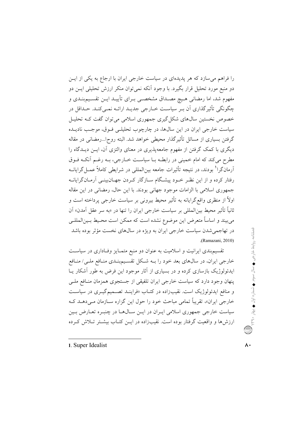را فراهم میسازد که هر پدیدهای در سیاست خارجی ایران با ارجاع به یکی از ایس دو منبع مورد تحلیل قرار بگیرد. با وجود آنکه نمی توان منکر ارزش تحلیلی ایــن دو مفهوم شد، اما رمضانی هـیچ مصـداق مشخصـی بــرای تأییــد ایــن تقســیمبنــدی و چگونگی تأثیرگذاری آن بـر سیاسـت خـارجی جدیـد ارائـه نمـیکنـد. حـداقل در خصوص نخستین سال۱عای شکل گیری جمهوری اسلامی می توان گفت کـه تحلیـل سیاست خارجی ایران در این سالها، در چارچوب تحلیلـی فـوق، موجـب نادیــده گرفتن بسیاری از مسائل تأثیرگذار محیطی خواهد شد. البته روح!...رمضانی در مقاله دیگری با کمک گرفتن از مفهوم جامعهپذیری در معنای والتزی آن، ایــن دیــدگاه را مطرح مي كند كه امام خميني در رابطـه بــا سياســت خــارجي، بــه رغــم أنكــه فــوق آرمانگرا<sup>1</sup> بودند، در نتیجه تأثیرات جامعه بین|لمللی در شرایطی کاملاً عمـلگرایانــه رفتار کرده و از این نظـر خــود پیشـگام ســازگار کــردن جهــان(بینــی آرمــانگرایانــه جمهوري اسلامي با الزامات موجود جهاني بودند. با اين حال، رمضاني در اين مقاله اولاً از منظری واقع گرایانه به تأثیر محیط بیرونی بر سیاست خارجی پرداخته است و ثانياً تأثير محيط بين|لمللي بر سياست خارجي ايران را تنها در «به سر عقل اَمدن» اَن می بیند و اساساً متعرض این موضوع نشده است که ممکن است محـیط بـین|لمللـی در تهاجمي شدن سياست خارجي ايران به ويژه در سالهاي نخست مؤثر بوده باشد (Ramazani, 2010).

تقسیم.بندی ایرانیت و اسلامیت به عنوان دو منبع متمـایز وفـاداری در سیاسـت خارجی ایران، در سال0های بعد خود را بــه شــکل تقسـیمبنـدی منـافع ملـی/ منـافع ایدئولوژیک بازسازی کرده و در بسیاری از آثار موجود این فرض به طور آشکار یــا ینهان وجود دارد که سیاست خارجی ایران تلفیقی از جستجوی همزمان منـافع ملـی و منافع ایدئولوژیک است. نقیبزاده در کتـاب «فراینــد تصــمیمگیــری در سیاســت خارجی ایران»، تقریباً تمامی مباحث خود را حول این گزاره سـازمان مـیدهــد کــه سیاست خارجی جمهوری اسلامی ایـران در ایـن سـال۵هـا در چنبـره تعـارض بـین ارزش ها و واقعیت گرفتار بوده است. نقیبزاده در ایــن کتــاب بیشــتر تــلاش کــرده

<sup>1.</sup> Super Idealist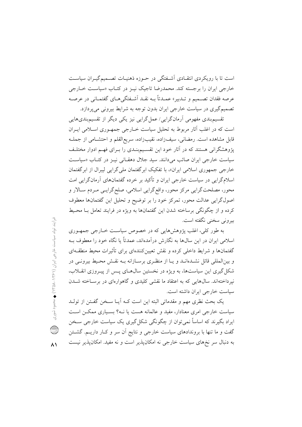است تا با رویکردی انتقـادی آشـفتگی در حـوزه ذهنیـات تصـمیمگیـران سیاسـت خارجی ایران را برجسته کند. محمدرضا تاجیک نیـز در کتـاب «سیاسـت خـارجی عرصه فقدان تصميم و تـدبير» عمـدتاً بــه نقــد أشــفتگيهــاي گفتمـاني در عرصــه تصمیمگیری در سیاست خارجی ایران بدون توجه به شرایط بیرونی میپردازد.

تقسیم،بندی مفهومی آرمان گرایی/ عمل گرایی نیز یکی دیگر از تقسیم،بندیهایی است که در اغلب آثار مربوط به تحلیل سیاست خـارجی جمهـوری اسـلامی ایـران قابل مشاهده است. رمضانی، سیفزاده، نقیبزاده، سریع|لقلم و احتشـامی از جملـه یژوهشگرانی هستند که در آثار خود این تقسیم بنـدی را بـرای فهـم ادوار مختلـف سیاست خارجی ایران صائب می دانند. سید جلال دهقـانی نیـز در کتـاب «سیاسـت خارجی جمهوری اسلامی ایران»، با تفکیک ابر گفتمان ملی گرایی لیبرال از ابر گفتمان اسلامگرایی در سیاست خارجی ایران و تأکید بر خرده گفتمانهای آرمانگرایی امت محور، مصلحتگرایی مرکز محور، واقع گرایی اسلامی، صلحگرایـی مـردم سـالار و اصولگرایی عدالت محور، تمرکز خود را بر توضیح و تحلیل این گفتمانها معطوف کرده و از چگونگی برساخته شدن این گفتمانها به ویژه در فرایند تعامل بـا محـیط بيروني سخني نگفته است.

به طور کلی، اغلب پژوهش هایی که در خصوص سیاست خبارجی جمهـوری اسلامی ایران در این سال@ا به نگارش درآمدهاند، عمدتاً یا نگاه خود را معطوف بــه گفتمانها و شرایط داخلی کرده و نقش تعیینکنندهای برای تأثیرات محیط منطقـهای و بینالمللی قائل نشـدهانـد و یـا از منظـری برسـازانه بــه نقـش محـیط بیرونــی در شکل گیری این سیاستها، به ویژه در نخستین سال های پس از پیـروزی انقـلاب، نیرداختهاند. سالهایی که به اعتقاد ما نقشی کلیدی و گاهوارهای در برساخته شـدن سیاست خارجے ایران داشته است.

يک بحث نظري مهم و مقدماتي البته اين است کـه أيـا سـخن گفـتن از تولـد سیاست خارجی امری معنادار، مفید و عالمانه هست یا نـه؟ بسـیاری ممکـن اسـت ایراد بگیرند که اساساً نمی توان از چگونگی شکل گیری یک سیاست خارجی سـخن گفت و ما تنها با بروندادهای سیاست خارجی و نتایج آن سر و کـار داریـم. گشــتن به دنبال سر نخهای سیاست خارجی نه امکان پذیر است و نه مفید. امکان پذیر نیست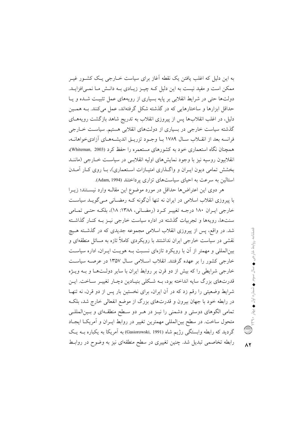به این دلیل که اغلب یافتن یک نقطه آغاز برای سیاست خــارجی یــک کشــور غیــر ممکن است و مفید نیست به این دلیل کـه چیــز زیــادی بــه دانــش مــا نمــی|فزایــد. دولتها حتی در شرایط انقلابی بر پایه بسیاری از رویههای عمل تثبیت شـده و یـا حداقل ابزارها و ساختارهایی که در گذشته شکل گرفتهاند، عمل میکنند. بـه همـین دلیل، در اغلب انقلابها پس از پیروزی انقلاب به تدریج شاهد بازگشت رویههـای گذشته سیاست خارجی در بسیاری از دولتهای انقلابی هستیم. سیاست خـارجی فرانسه بعد از انقـلاب سـال ۱۷۸۹ بــا وجــود تزريــق انديشــههــاي آزاديخواهانــه، همچنان نگاه استعماری خود به کشورهای مستعمره را حفظ کرد (Whiteman, 2003)، انقلابیون روسیه نیز با وجود نمایش های اولیه انقلابسی در سیاست خبارجی (ماننید بخشش تمامی دیون ایـران و واگــذاری امتیــازات اسـتعماری)، بــا روی کــار آمــدن استالین به سرعت به احیای سیاستهای تزاری پرداختند (Adam, 1994).

هر دوی این اعتراضها حداقل در مورد موضوع این مقالـه وارد نیسـتند؛ زیــرا با پیروزی انقلاب اسلامی در ایران نه تنها آنگونه کـه رمضـانی مـی گویـد سیاسـت خارجي ايبران ١٨٠ درجـه تغييـر كـرد (رمضـاني، ١٣٨٨: ١٨)، بلكـه حتـي تمـامي سنتها، رویهها و تجربیات گذشته در اداره سیاست خارجی نیـز بــه کنــار گذاشــته شد. در واقع، پس از پیروزی انقلاب اسلامی مجموعه جدیدی که در گذشته هـیچ نقشی در سیاست خارجی ایران نداشتند با رویکردی کاملاً تازه به مسائل منطقهای و بینالمللی و مهمتر از آن با رویکرد تازهای نسبت بـه هویـت ایـران، اداره سیاسـت خارجی کشور را بر عهده گرفتند. انقلاب اسلامی سـال ۱۳۵۷ در عرصــه سیاســت خارجی شرایطی را که بیش از دو قرن بر روابط ایران با سایر دولتها و بـه ویـژه قدرتهای بزرگ سایه انداخته بود، بـه شـکلی بنیـادین دچـار تغییـر سـاخت. ایـن شرایط وضعیتی را رقم زد که در آن ایران، برای نخستین بار پس از دو قرن، نه تنهـا در رابطه خود با جهان بیرون و قدرتهای بزرگ از موضع انفعالی خارج شد، بلک تمامی الگوهای دوستی و دشمنی را نیـز در هـر دو سـطح منطقـهای و بـین|لمللـی متحول ساخت. در سطح بین|لمللی مهمترین تغییر در روابط ایـران و اَمریکـا ایجـاد گردید که رابطه وابستگی رژیم شاه (Gasiorowski, 1991) به آمریکا به یکباره بــه یــک رابطه تخاصمی تبدیل شد. چنین تغییری در سطح منطقهای نیز به وضوح در روابط

 $\lambda$ ٢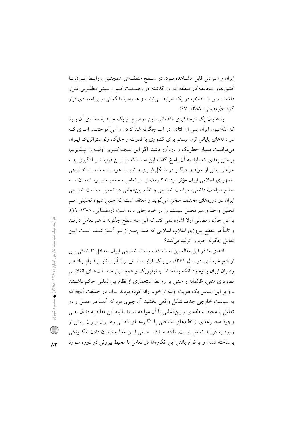ایران و اسرائیل قابل مشـاهده بـود. در سـطح منطقـهای همچنـین روابـط ایـران بـا کشورهای محافظهکار منطقه که در گذشته در وضـعیت کـم و بـیش مطلـوبی قـرار داشت، پس از انقلاب در یک شرایط بی ثبات و همراه با بدگمانی و بی اعتمادی قرار گرفت(رمضاني، ۱۳۸۸: ۶۷).

به عنوان یک نتیجهگیری مقدماتی، این موضوع از یک جنبه به معنــای اَن بــود که انقلابیون ایران پس از افتادن در آب چگونه شنا کردن را میآموختنـد. امـری کــه در دهههای پایانی قرن بیستم برای کشوری با قدرت و جایگاه ژئواستراتژیک ایـران میتوانست بسیار خطرناک و دردآور باشد. اگر این نتیجـهگیــری اولیــه را بپــذیریـم، پرسش بعدی که باید به آن پاسخ گفت این است که در ایــن فراینــد یــادگیری چــه عواملي بيش از عوامـل ديگـر در شـكل گيـري و تثبيـت هويـت سياسـت خــارجي جمهوری اسلامی ایران مؤثر بودهاند؟ رمضانی از تعامل سهجانبـه و پویـا میـان ســه سطح سیاست داخلی، سیاست خارجی و نظام بینالمللی در تحلیل سیاست خارجی ایران در دورههای مختلف سخن می گوید و معتقد است که چنین شیوه تحلیلی هـم تحلیل واحد و هم تحلیل سیستم را در خود جای داده است (رمضـانی، ۱۳۸۸: ۱۹: با این حال، رمضانی اولاً اشاره نمی کند که این سه سطح چگونه با هم تعامل دارنــد و ثانیاً در مقطع پیروزی انقلاب اسلامی که همه چیـز از نــو اَغــاز شــده اســت ایــن تعامل چگونه خود را تولید می کند؟

ادعای ما در این مقاله این است که سیاست خارجی ایران حداقل تا اندکی پس از فتح خرمشهر در سال ۱۳۶۱، در یـک فراینـد تـأثیر و تـأثر متقابـل قــوام یافتــه و رهبران ایران با وجود آنکه به لحاظ ایدئولوژیک و همچنـین خصـلتهـای انقلابـی تصویری منفی، ظالمانه و مبتنی بر روابط استعماری از نظام بین|لمللی حاکم داشتند ۔ و پر این اساس یک هویت اولیه از خود ارائه کرده بودند ۔اما در حقیقت آنچه که به سیاست خارجی جدید شکل واقعی بخشید آن چیزی بود که آنهـا در عمـل و در تعامل با محیط منطقهای و بینالمللی با آن مواجه شدند. البته این مقاله به دنبال نفـی وجود مجموعهای از نظامهای شناختی یا انگارههــای ذهنــی رهبــران ایــران پــیش از ورود به فرایند تعامل نیست، بلکه هـدف اصـلی ایــن مقالــه نشــان دادن چگــونگی برساخته شدن و یا قوام یافتن این انگارهها در تعامل با محیط بیرونی در دوره مـورد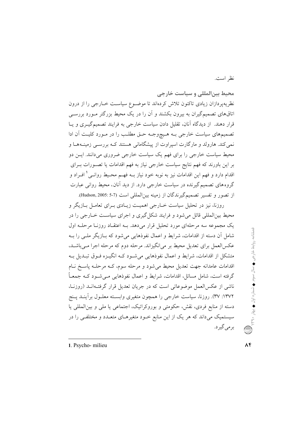نظر است.

محيط بين المللى و سياست خارجى نظریهپردازان زیادی تاکنون تلاش کردهاند تا موضـوع سیاسـت خــارجی را از درون اتاقهای تصمیمگیران به بیرون بکشند و آن را در یک محیط بزرگتر مـورد بررسـی قرار دهند. از دیدگاه آنان، تقلیل دادن سیاست خارجی به فرایند تصمیمگیـری و یـا تصمیمهای سیاست خارجی بـه هـیچوجـه حـق مطلـب را در مـورد کلیـت آن ادا نمی کند. هارولد و مارگارت اسپراوت از پیشگامانی هستند کـه بررسـی زمینـههـا و محیط سیاست خارجی را برای فهم یک سیاست خارجی ضروری میدانند. ایــن دو بر این باورند که فهم نتایج سیاست خارجی نیاز به فهم اقدامات یا تصـورات بـرای اقدام دارد و فهم این اقدامات نیز به نوبه خود نیاز بــه فهــم محـیط روانــی ْ افــراد و گروههای تصمیم گیرنده در سیاست خارجی دارد. از دید آنان، محیط روانی عبارت از تصور و تفسير تصميم گيرندگان از زمينه بين|لمللي است (7-5 :Hudson, 2005).

روزنا، نیز در تحلیل سیاست خــارجی اهمیــت زیــادی بــرای تعامــل بــازیگر و محیط بینالمللی قائل می شود و فرایند شکل گیری و اجرای سیاست خــارجی را در یک مجموعه سه مرحلهای مورد تحلیل قرار میدهد. بـه اعتقـاد روزنـا مرحلـه اول شامل آن دسته از اقدامات، شرایط و اعمال نفوذهایی میشود که بــازیگر ملــی را بــه عکسالعمل برای تعدیل محیط بر میانگیزاند. مرحله دوم که مرحله اجرا مـیباشـد. متشکل از اقدامات، شرایط و اعمال نفوذهایی می شود کـه انگیـزه فـوق تبـدیل بـه اقدامات عامدانه جهت تعدیل محیط می شود و مرحله سوم، کـه مرحلـه پاسـخ نـام گرفته است، شامل مسائل، اقدامات، شرایط و اعمال نفوذهایی مـی شـود کـه جمعـاً ناشی از عکسالعمل موضوعاتی است که در جریان تعدیل قرار گرفتـهانــد (روزنــا، ۱۳۷۲: ۳۷). روزنا، سیاست خارجی را همچون متغیری وابسـته معلـول برأینـد پـنج دسته از منابع فردی، نقش، حکومتی و بوروکراتیک، اجتماعی یا ملی و بین المللی یا سیستمیک میداند که هر یک از این منابع خـود متغیرهـای متعـدد و مختلفـی را در برمي گيرد.

فصلنامه روابط خارجی ♦ سال سوم ♦ شماره اول ♦ بهار ۲۹۰\$\<br>.

1. Psycho-milieu

 $\Lambda f$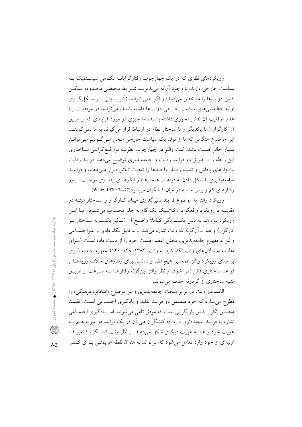رویکردهای نظری که در یک چهارچوب رفتارگرایانــه نگــاهی سیســتمیک بــه سیاست خارجی دارند، با وجود آنکه می پذیرنــد شــرایط محیطــی محــدوده ممکــن کنش دولتها را مشخص میکنند؛ و اگر حتی نتوانند تأثیر بسزایی بـر شـکل گیـری اوليه خط مشي هاي سياست خارجي دولتها داشته باشند، مي توانند در موفقيت پيا عدم موفقیت اَن نقش محوری داشته باشند، اما چیزی در مورد فرایندی که از طریق آن کارگزاران با یکدیگر و با ساختار نظام در ارتباط قرار میگیرند به ما نمیگوینـد. این موضوع هنگامی که ما از تولد یک سیاست خارجی سخن مـی گـوئیم مـیتوانـد بسیار حائز اهمیت باشد. کنت والتز در چهارچوب نظریـه نوواقـع گرایـی سـاختاری این رابطه را از طریق دو فرایند رقابت و جامعهپذیری توضیح میدهد. فرایند رقابت با ابزارهای پاداش و تنبیه رفتیار واحیدها را تحت تبأثیر قبرار می دهید و فراینید جامعه پذیری با شکل دادن به قواعـد، هنجارهـا و الگوهـای رفتـاری موجـب بـروز رفتارهای کم و بیش مشابه در میان کنشگران می شود(77-74 :Waltz, 1979).

رویکرد والتز به موضوع فرایند تأثیرگذاری میـان کـارگزار و ســاختار البتــه در مقایسه با رویکرد واقعگرایان کلاسیک یک گام به جلو محسوب می شـود، امـا ایــن رويكرد نيز، هم به دليل يكسـويگي كــاملاً واضــح أن (تــأثير يكســويه ســاختار بــر کارگزار) و هم \_ آنگونه که ونت اشاره می کند \_ به دلیل نگاه مادی و غیراجتمـاعی والتز به مفهوم جامعه یذیری، بخش اعظم اهمیت خود را از دست داده است (بهرای مطالعه استدلالهای ونت نگاه کنید به ونت، ۱۳۸۴: ۱۴۹–۱۴۶). مفهوم جامعهپذیری بر مبنای رویکرد والتز همچنین هیچ فضا و شانسی برای رفتارهای خلاف رویههـا و قواعد ساختاري قائل نمي شود. از نظر والتز اين گونه رفتارهـا بــه سـرعت از طريــق تنبيه ساختاري از گردونه حذف مي شوند.

الكساندر ونت در برابر مبحث جامعه پذیری والتز موضوع «انتخاب فرهنگی» را مطرح می سازد که خود متضمن دو فرایند تقلید و یادگیری اجتمـاعی اسـت. تقلیـد متضمن تکرار کنش بازیگرانی است که موفق تلقی می شوند، اما یـادگیری اجتمـاعی اشاره به فرایند پیچیدهتری دارد که کنشگران طی آن در یک فرایند دو سویه هسم بــه هويت خود و هم به هويت ديگري شكل ميدهند. از نظر ونت كنشگر بــا تعريــف اولیهای از خود وارد تعامل میشود که می تواند به عنوان نقطه عزیمتـی بـرای کـنش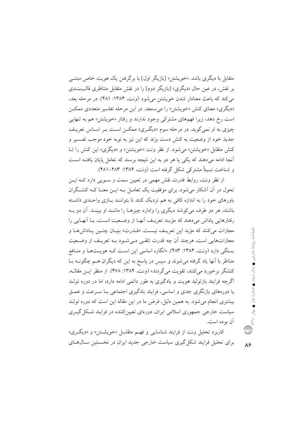متقابل با دیگری باشد. «خویشتن» [بازیگر اول] با بر گرفتن یک هویت خاص مبتنبی بر نقش، در عین حال «دیگری» [بازیگر دوم] را در نقش متقابل متناظری قالببنــدی میکند که باعث معنادار شدن خویشتن میشود (ونت، ۱۳۸۴: ۴۸۱). در مرحله بعد، «دیگری» معنای کنش «خویشتن» را می سنجد. در این مرحله تفاسیر متعددی ممکن است رخ دهد، زیرا فهمهای مشترکی وجود ندارند و رفتار «خویشتن» هم به تنهایی چیزی به او نمیگوید. در مرحله سوم «دیگری» ممکـن اسـت بـر اسـاس تعریـف جدید خود از وضعیت به کنش دست بزند که این نیز به نوبه خود موجب تفسیر و کنش متقابل «خویشتن» می شود. از نظر ونت «خویشتن» و «دیگری» این کنش را تبا آنجا ادامه می دهند که یکی یا هر دو به این نتیجه برسند که تعامل پایان یافتــه اســت و شناخت نسبتاً مشترکی شکل گرفته است (ونت، ۱۳۸۴: ۴۸۲–۴۸۱).

از نظر ونت، روابط قدرت نقش مهمی در تعیین سمت و سـویی دارد کــه ایــن تحول در آن آشکار می شود. برای موفقیت یک تعامـل بــه ایــن معنــا کــه کنشــگران باورهای خود را به اندازه کافی به هم نزدیک کنند تا پتواننید بیازی واحیدی داشته باشند، هر دو طرف می کوشد دیگری را وادارد چیزهـا را ماننـد او ببینـد. آن دو بـه رفتارهایی پاداش میردهند که مؤیـد تعریـف آنهـا از وضـعیت اسـت، یـا آنهـایی را مجازات مي كنند كه مؤيد اين تعريـف نيسـت. «قــدرت» بنيـان چنـين يـاداش هــا و مجازاتهایی است، هرچند اَن چه قدرت تلقی می شـود بـه تعریـف از وضـعیت بستگی دارد (ونت، ۱۳۸۴: ۴۸۳). «انگاره اساسی این است کـه هویـتهـا و منـافع متناظر با آنها یاد گرفته می شوند و سپس در پاسخ به این که دیگران هــم چگونــه بــا کنشگر برخورد می کنند، تقویت می گردند» (ونت، ۱۳۸۴: ۴۷۸). از منظر ایـن مقالـه، اگرچه فرایند بازتولید هویت و یادگیری به طور دائمی ادامه دارد، اما در دوره تولـد یا دورههای بازنگری جدی و اساسی، فرایند یادگیری اجتماعی بیا سیرعت و عمیق بیشتری انجام می شود. به همین دلیل، فرض ما در این مقاله این است که دوره تولـد سیاست خارجی جمهوری اسلامی ایران، دورهای تعیین کننده در فرایند شکل گیــری آن بو ده است.

کاربرد تحليل ونت از فرايند شناسايي و فهـم متقابـل «خويشـتن» و «ديگـري» برای تحلیل فرایند شکل گیری سیاست خارجی جدید ایران در نخستین سـالهـای  $\lambda$ ۶

فصلنامه روابط خارجی ♦ سال سوم ♦ شماره اول ♦ بهار ٣٩٫٠٪ ( ...)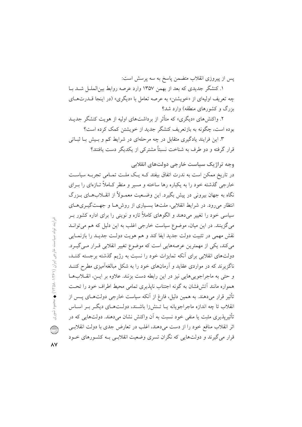پس از پیروزی انقلاب متضمن پاسخ به سه پرسش است:

۱. کنشگر جدیدی که بعد از بهمن ۱۳۵۷ وارد عرصه روابط بینالملـل شــد بــا چه تعریف اولیهای از «خویشتن» به عرصه تعامل با «دیگری» (در اینجا قــدرتهـای  $\cdot$ بزرگ و کشورهای منطقه) وارد شد؟

۲. واکنش های «دیگری» که متأثر از برداشتهای اولیه از هویت کنشگر جدیــد بوده است، چگونه به بازتعریف کنشگر جدید از خویشتن کمک کرده است؟

۳. این فرایند یادگیری متقابل در چه مرحلهای در شرایط کم و بسیش بـا ثبــاتی قرار گرفته و دو طرف به شناخت نسبتاً مشترکی از یکدیگر دست یافتند؟

وجه تراژیک سیاست خارجی دولتهای انقلابی

در تاریخ ممکن است به ندرت اتفاق بیفتد کـه یـک ملـت تمـامی تجربـه سیاسـت خارجی گذشته خود را به یکباره رها ساخته و مسیر و منظر کـاملاً تــازهای را بــرای نگاه به جهان بیرونی در پیش بگیرد. این وضـعیت معمـولاً از انقــلابِهــای بــزرگ انتظار میرود. در شرایط انقلابی، ملتها بسیاری از روشها و جهتگیریهای سیاسی خود را تغییر میدهند و الگوهای کاملاً تازه و نوینی را برای اداره کشور بـر می گزینند. در این میان، موضوع سیاست خارجی اغلب به این دلیل که هم می توانـد نقش مهمی در تثبیت دولت جدید ایفا کند و هم هویت دولت جدیـد را بازنمـایی می کند، یکی از مهمترین عرصههایی است که موضوع تغییر انقلابی قـرار مـی گیـرد. دولتهای انقلابی برای آنکه تمایزات خود را نسبت به رژیم گذشته برجسته کننـد، ناگزیرند که در مواردی عقاید و آرمانهای خود را به شکل مبالغهآمیزی مطرح کننـد و حتی به ماجراجویی هایی نیز در این رابطه دست بزنند. علاوه بر ایـن، انقـلابهـا همواره مانند اّتشفشان به گونه اجتناب نایذیری تمامی محیط اطراف خود را تحت تأثیر قرار میدهند. به همین دلیل، فارغ از آنکه سیاست خارجی دولتهـای پــس از انقلاب تا چه اندازه ماجراجویانه یـا تـنش(ا باشـند، دولـتهـای دیگـر بـر اسـاس تأثیریذیری مثبت یا منفی خود نسبت به اَن واکنش نشان میٖدهند. دولتهایی که در اثر انقلاب منافع خود را از دست میدهند، اغلب در تعارض جدی با دولت انقلابسی قرار می گیرند و دولتهایی که نگران تسری وضعیت انقلابـی بـه کشـورهای خــود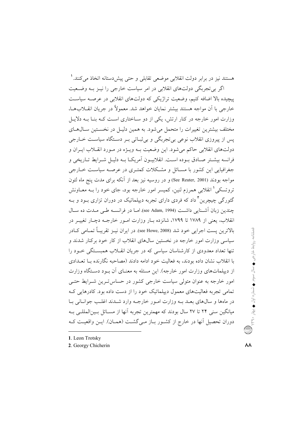هستند نیز در برابر دولت انقلابی موضعی تقابلی و حتی پیش دستانه اتخاذ میکنند.' اگر بی تجربگی دولتهای انقلابی در امر سیاست خارجی را نیـز بـه وضـعیت پیچیده بالا اضافه کنیم، وضعیت تراژیکی که دولتهای انقلابی در عرصه سیاست خارجی یا اَن مواجه هستند بیشتر نمایان خواهد شد. معمولاً در جریان انقیلابها، وزارت امور خارجه در کنار ارتش، یکی از دو سـاختاری اسـت کـه بنـا بـه دلایـل مختلف بیشترین تغییرات را متحمل می شود. به همین دلیـل در نخسـتین سـالهـای یس از پیروزی انقلاب نوعی بی تجربگی و بی ثبــاتی بــر دســتگاه سیاســت خــارجی دولتهای انقلابی حاکم میشود. این وضعیت بـه ویـژه در مـورد انقــلاب ایــران و فرانسه بيشـتر صـادق بـوده اسـت. انقلابيـون أمريكـا بـه دليـل شـرايط تـاريخي و جغرافیایی این کشور با مسـائل و مشـکلات کمتـری در عرصـه سیاسـت خـارجی مواجه بودند (See Reuter, 2001) و در روسیه نیز بعد از آنکه برای مدت پنج ماه لئون تروتسکی ٰ انقلابی همرزم لنین، کمیسر امور خارجه بود، جای خود را بــه معــاونش گئورگی چیچرین<sup>۲</sup> داد که فردی دارای تجربه دیپلماتیک در دوران تزاری بــود و بــه چندین زبان آشـنایی داشـت (see Adam, 1994). امـا در فرانســه طــی مـدت ده سـال انقلاب، يعني از ١٧٨٩ تا ١٧٩٩، شانزده بيار وزارت امبور خارجيه دچيار تغييير در بالاترين پست اجرايي خود شد (see Howe, 2008). در ايران نسز تقريباً تمـامي كـادر سیاسی وزارت امور خارجه در نخستین سال\$ای انقلاب از کار خود برکنار شدند و تنها تعداد معدودی از کارشناسان سیاسی که در جریان انقــلاب همبســتگی خــود را با انقلاب نشان داده بودند، به فعالیت خود ادامه دادند (مصاحبه نگارنده بـا تعــدادی از دیپلماتهای وزارت امور خارجه). این مسئله به معنــای آن بــود دســتگاه وزارت امور خارجه به عنوان متولی سیاست خارجی کشور در حساس تـرین شـرایط حتـی تمامی تجربه فعالیتهای معمول دیپلماتیک خود را از دست داده بود. کادرهایی ک در ماهها و سال های بعـد بـه وزارت امـور خارجـه وارد شـدند اغلـب جوانـانی بـا میانگین سنی ۲۴ تا ۲۷ سال بودند که مهمترین تجربه آنها از مسـائل بـینالمللـی بـه دوران تحصیل آنها در خارج از کشـور بـاز مـی گشـت (همـان). ایـن واقعیـت کـه

- 1. Leon Trotsky
- 2. Georgy Chicherin

فصلنامه روابط خارجی ♦ سال سوم ♦ شماره اول ♦ بهار ٣٩٫٠٪ ( ...)

۸۸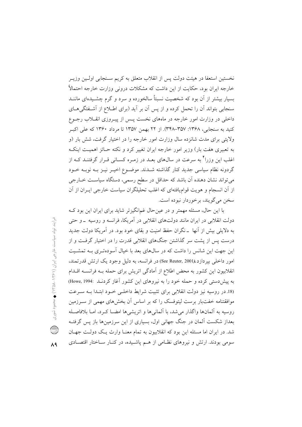نخستین استعفا در هیئت دولت پس از انقلاب متعلق به کریم سـنجابی اولـین وزیــر خارجه ایران بود، حکایت از این داشت که مشکلات درونی وزارت خارجه احتمالاً بسیار بیشتر از آن بود که شخصیت نسبتاً سالخورده و سرد و گرم چشـیدهای ماننـد سنجابی بتواند آن را تحمل کرده و از پس آن بر آید (برای اطـلاع از آشـفتگی۵حـای داخلی در وزارت امور خارجه در ماههای نخست پـس از پیـروزی انقــلاب رجــوع کنید به سنجابی، ۱۳۶۸: ۳۵۷–۳۴۸). از ۲۲ بهمن ۱۳۵۷ تا مرداد ۱۳۶۰ که علی اکب ولایتی برای مدت شانزده سال وزارت امور خارجه را در اختیار گرفت، شش بار (و به تعبیری هفت بار) وزیر امور خارجه ایران تغییر کرد و نکته حـائز اهمیـت اینکـه اغلب این وزرا آ به سرعت در سالهای بعـد در زمـره کسـانی قـرار گرفتنـد کــه از گردونه نظام سیاسی جدید کنار گذاشته شــدند. موضــوع اخیــر نیــز بــه نوبــه خــود می تواند نشان دهنده آن باشد که حداقل در سطح رسمی، دستگاه سیاست خــارجی از آن انسجام و هویت قوامیافتهای که اغلب تحلیلگران سیاست خارجی ایـران از آن سخن مي گويند، برخوردار نبوده است.

با این حال، مسئله مهمتر و در عین حال غمانگیزتر شاید برای ایران این بود ک دولت انقلابی در ایران مانند دولتهای انقلابی در آمریکا، فرانسه و روسیه \_و حتی به دلایلی بیش از آنها \_نگران حفظ امنیت و بقای خود بود. در آمریکا دولت جدید درست پس از پشت سر گذاشتن جنگهای انقلابی قدرت را در اختیار گرفت و از این جهت این شانس را داشت که در سالهای بعد با خیال آسودهتری بـه تمشـیت امور داخلي بير دازد.(See Reuter, 2001) در فرانسه، به دليل وجود يک ارتش قدرتمند، انقلابیون این کشور به محض اطلاع از آمادگی اتریش برای حمله بـه فرانسـه اقـدام به پیش دستی کرده و حمله خود را به نیروهای این کشور آغاز کردنـد :Howe, 1994 (18 در روسیه نیز دولت انقلابی برای تثبیت شرایط داخلبی خـود ابتـدا بـه سـرعت موافقتنامه خفتبار برست لیتوفسک را که بر اساس آن بخشهای مهمی از سـرزمین روسيه به آلمانها واگذار مى شد، با آلمانى ها و اتريشى ها امضــا كـرد، امــا بلافاصــله بعداز شکست آلمان در جنگ جهانی اول، بسیاری از این سرزمینها باز پس گرفتـه شد. در ایران اما مسئله این بود که انقلابیون به تمام معنـا وارث یـک دولـت جهـان سومی بودند. ارتش و نیروهای نظامی از هـم یاشـیده، در کنـار سـاختار اقتصـادی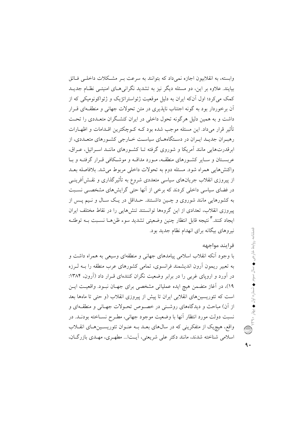وابسته، به انقلابیون اجازه نمی داد که بتوانند به سرعت بـر مشکلات داخلـی فـائق بیایند. علاوه بر این، دو مسئله دیگر نیز به تشدید نگرانی هـای امنیتــی نظـام جدیــد کمک می کرد؛ اول آنکه ایران به دلیل موقعیت ژئواستراتژیک و ژئواکونومیکی که از آن برخوردار بود به گونه اجتناب ناپذیری در متن تحولات جهانی و منطقـهای قـرار داشت و به همین دلیل هرگونه تحول داخلی در ایران کنشگران متعـددی را تحـت تأثیر قرار میداد. این مسئله موجب شده بود کـه کــوچکترین اقــدامات و اظهــارات رهبـران جدیـد ایـران در دسـتگاههـای سیاسـت خــارجی کشــورهای متعــددی، از ابرقدرتهایی مانند آمریکا و شوروی گرفته تـا کشـورهای ماننـد اسـرائیل، عـراق، عربستان و سبایر کشورهای منطقیه، میورد مداقیه و موشیکافی قبرار گرفتیه و بیا واكنش هايي همراه شود. مسئله دوم به تحولات داخلي مربوط مي شد. بلافاصله بعـد از پیروزی انقلاب جریانهای سیاسی متعددی شروع به تأثیر گذاری و نقــش[فرینــی در فضای سیاسی داخلی کردند که برخی از آنها حتی گرایشهای مشخصـی نسـبت به کشورهایی مانند شوروی و چـین داشـتند. حـداقل در یـک سـال و نـیم پـس از پیروزی انقلاب، تعدادی از این گروهها توانستند تنشهایی را در نقاط مختلف ایران ايجاد كنند. أنتيجه قابل انتظار چنين وضعيتي تشديد سوء ظنهــا نسـبت بــه توطئــه نیروهای بیگانه برای انهدام نظام جدید بود.

## فرايند مواجهه

با وجود اّنکه انقلاب اسلامی پیامدهای جهانی و منطقهای وسیعی به همراه داشت و به تعبیر ریمون اَرون اندیشمند فرانسوی، تمامی کشورهای عرب منطقه را بــه لــرزه در آورد و اروپای غربی را در برابر وضعیت نگران کنندهای قـرار داد (آرون، ۱۳۸۴: ١٩)، در آغاز متضمن هيچ ايده عملياتي مشخصي براي جهـان نبـود. واقعيـت ايـن است که تئوریسینهای انقلابی ایران تا پیش از پیروزی انقلاب (و حتی تا ماهها بعد از آن) مباحث و دیدگاههای روشنی در خصوص تحـولات جهـانی و منطقـهای و نسبت دولت مورد انتظار آنها با وضعیت موجود جهانی، مطـرح نســاخته بودنــد. در واقع، هیچ،یک از متفکرینی که در سالهای بعـد بــه عنــوان تئوریســینهــای انقــلاب اسلامی شناخته شدند، مانند دکتر علی شریعتی، آیـتا... مطهـری، مهـدی بازرگــان،

٩.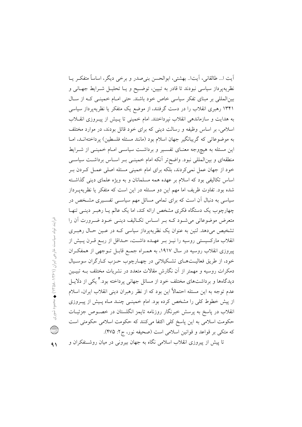آيت ا… طالقاني، آيتا… بهشتي، ابوالحسن بني صدر و برخي ديگر، اساساً متفكـر يــا نظریهپرداز سیاسی نبودند تا قادر به تبیین، توضـیح و یــا تحلیــل شــرایط جهــانی و بین المللی بر مبنای تفکر سیاسی خاص خود باشند. حتی امـام خمینـی کـه از سـال ۱۳۴۱ رهبری انقلاب را در دست گرفتند، از موضع یک متفکر یا نظریهپرداز سیاسی به هدایت و سازماندهی انقلاب نیرداختند. امام خمینی تا پسش از پیـروزی انقــلاب اسلامی، بر اساس وظیفه و رسالت دینی که برای خود قائل بودند، در موارد مختلف به موضوعاتی که گریبانگیر جهان اسلام بود (مانند مسئله فلسطین) پرداختهانـد، امـا این مسئله به هیچوجه معنـای تفسـیر و برداشـت سیاسـی امـام خمینـی از شـرایط منطقهای و بین|لمللی نبود. واضحتر آنکه امام خمینـی بـر اسـاس برداشـت سیاسـی خود از جهان عمل نمی کردند، بلکه برای امام خمینی مسئله اصلی عمـل کـردن بـر اساس تکالیفی بود که اسلام بر عهده همه مسلمانان و به ویژه علمای دینی گذاشته شده بود. تفاوت ظریف اما مهم این دو مسئله در این است که متفکر یا نظریهپـرداز سیاسی به دنبال آن است که برای تمامی مسائل مهم سیاســی تفســیری مشــخص در چهارچوب یک دستگاه فکری مشخص ارائه کند، اما یک عالم یـا رهبـر دینـی تنهـا متعرض موضوعاتی می شود کـه بـر اسـاس تکـالیف دینـی خـود ضـرورت آن را تشخیص میدهد. لنین به عنوان یک نظریهپرداز سیاسی کـه در عـین حـال رهبـری انقلاب مارکسیستی روسیه را نیـز بـر عهـده داشـت، حـداقل از ربـع قـرن پـیش از پیروزی انقلاب روسیه در سال ۱۹۱۷، به همـراه جمـع قابـل تـوجهی از همفکـران خود، از طریق فعالیتهای تشکیلاتی در چهارچوب حـزب کـارگران سوسـیال دمکرات روسیه و مهمتر از آن نگارش مقالات متعدد در نشریات مختلف بـه تبیـین دیدگاهها و برداشتهای مختلف خود از مسائل جهانی پرداخته بود. آ یکی از دلایــل عدم توجه به این مسئله احتمالاً این بود که از نظر رهبران دینی انقلاب ایران، اسلام از پیش خطوط کلی را مشخص کرده بود. امام خمینــی چنــد مــاه پــیش از پیــروزی انقلاب در پاسخ به پرسش خبرنگار روزنامه تایمز انگلستان در خصــوص جزئیــات حکومت اسلامی به این پاسخ کلی اکتفا میکنند که حکومت اسلامی حکومتی است كه متكي بر قواعد و قوانين اسلامي است (صحيفه نور، ج٢: ٣٧۵).

فرآيند تولد سيادست فرمي (1<1×1−2×1−2×1) معموم شوري. Q  $\sim$ 

تا پیش از پیروزی انقلاب اسلامی نگاه به جهان بیرونی در میان روشـنفکران و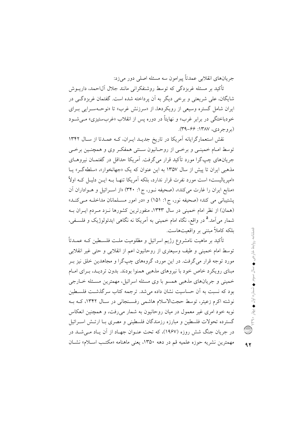جريانهاي انقلابي عمدتاً پيرامون سه مسئله اصلي دور مي زد:

تأکید بر مسئله غربزدگی که توسط روشنفکرانی مانند جلال آل|حمد، داریــوش شایگان، علی شریعتی و برخی دیگر به آن پرداخته شده است. گفتمان غربزدگی در ابران شامل گستره وسیعی از رویکردها، از «سرزنش غرب» تا «نوحـهسـرابی بـرای خودباختگی در برابر غرب» و نهایتاً در دوره پس از انقلاب «غربستیزی» می شـود (بروجردي، ١٣٨٧: ۶۶-٣٩).

نقش استعمارگرایانه آمریکا در تاریخ جدیـد ایـران، کـه عمـدتا از سـال ١٣۴٢ توسط امـام خمينـي و برخـي از روحـانيون سـنتي همفكـر وي و همچنـين برخـي جریانهای چپگرا مورد تآکید قرار میگرفت. آمریکا حداقل در گفتمـان نیروهــای مذهبی ایران تا پیش از سال ۱۳۵۷ به این عنوان که یک «جهانخوار»، «سلطه گـر» بـا «امیریالیست» است مورد نفرت قرار ندارد، بلکه آمریکا تنهـا بــه ایــن دلیــل کــه اولاً «منابع ايران را غارت مي كند»، (صحيفه نـور، ج ١: ٣۴٠) «از اسـرائيل و هـواداران آن پشتیبانی می کند» (صحیفه نور، ج۱: ۱۵۱) و «در امور مسـلمانان مداخلـه مـیکنـد» (همان) از نظر امام خمینی در سال ۱۳۴۳، منفورترین کشورها نـزد مـردم ایـران بـه شمار ميآمد.<sup>۵</sup> در واقع، نگاه امام خميني به آمريکا نه نگاهي ايدئولوژيک و فلسـفي، بلکه کاملاً مبتنی بر واقعیتهاست.

تأکید بر ماهیت نامشروع رژیم اسرائیل و مظلومیت ملــت فلســطین کــه عمــدتأ توسط امام خمینی و طیف وسیعتری از روحانیون اعم از انقلابی و حتی غیر انقلابی مورد توجه قرار می گرفت. در این مورد، گروههای چپگرا و مجاهدین خلق نیز ب مبنای رویکرد خاص خود با نیروهای مذهبی همنوا بودند. بدون تردیـد، بـرای امـام خميني و جريانهاي مذهبي همسو با وي مسئله اسرائيل، مهمترين مسـئله خــارجي بود که نسبت به آن حساسیت نشان داده می شد. ترجمه کتاب سر گذشت فلسـطین نوشته اکرم زعیتر، توسط حجتالاسلام هاشمی رفسـنجانی در سـال ١٣۴٢، کـه بـه نوبه خود امری غیر معمول در میان روحانیون به شمار میرفت، و همچنین انعکاس گسترده تحولات فلسطین و مبارزه رزمندگان فلسطینی و مصری بـا ارتـش اسـرائیل در جریان جنگ شش روزه (۱۹۶۷)، که تحت عنـوان جهـاد از آن پـاد مـی شــد در مهمترين نشريه حوزه علميه قم در دهه ١٣۵٠، يعني ماهنامه «مكتب اسـلام» نشـان

 $95$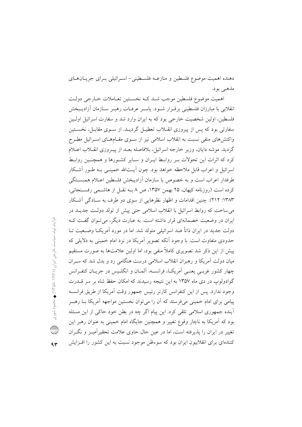دهنده اهميت موضوع فلسطين و منازعـه فلسـطيني- اسـرائيلي بـراي جريـان هـاي مذهبي بود.

اهميت موضوع فلسطين موجب شـد كـه نخسـتين تعـاملات خـارجى دولـت انقلابی با مبارزان فلسطینی برقـرار شـود. پاسـر عرفـات رهبـر سـازمان آزاديـبخش فلسطین، اولین شخصیت خارجی بود که به ایران وارد شد و سفارت اسرائیل اولـین سفارتی بود که پس از پیروزی انقـلاب تعطیـل گردیــد. از سـوی مقابـل، نخسـتین واکنش های منفی نسبت به انقلاب اسلامی نیز از سـوی مقـامهـای اسـرائیل مطـرح گردید. موشه دایان، وزیر خارجه اسرائیل، بلافاصله بعـد از پیـروزی انقــلاب اعــلام کرد که اثرات این تحولات بـر روابـط ایـران و سـایر کشـورها و همچنـین روابـط اسرائیل و اعراب قابل ملاحظه خواهد بود. چون آیــتالله خمینــی بــه طــور آشــکار طرفدار اعراب است و به خصوص با سازمان آزاديبخش فلسطين اعـلام همبسـتگي کرده است (روزنامه کیهان، ۲۵ بهمن ۱۳۵۷، ص ۸ بـه نقـل از هاشــمی رفســنجانی، ۱۳۸۳: ۲۱۲). چنین اقدامات و اظهار نظرهایی از سوی دو طرف به سـادگی آشـکار می ساخت که روابط اسرائیل با انقلاب اسلامی حتی پیش از تولد دولت جدیــد در ایران در وضعیت خصمانهای قرار داشته است. به عبارت دیگر، می تـوان گفـت کـه دولت جدید در ایران ذاتاً ضد اسرائیلی متولد شد. اما در مورد آمریک) وضیعیت تبا حدودی متفاوت است. با وجود اّنکه تصویر اّمریکا در نزد امام خمینی به دلایلی که پیش از این ذکر شد تصویری کاملاً منفی بود، اما اولین علامتها به صورت مستقیم میان دولت آمریکا و رهبران انقلاب اسلامی درست هنگامی رد و بدل شد که سـران چهار کشور غربے یعنے آمریکا، فرانسـه، آلمـان و انگلـیس در جریـان کنفـرانس گوادولوپ در دی ماه ۱۳۵۷ به این نتیجه رسیدند که امکان حفظ شاه بر سر قــدرت وجود ندارد. پس از این کنفرانس کارتر رئیس جمهور وقت آمریکا از طریق فرانسیه پیامی برای امام خمینی میفرستد که اَن را میتوان نخستین مواجهه اَمریکا بــا رهبــر اًینده جمهوری اسلامی تلقی کرد. این پیام اگر چه در بطن خود حاکی از این مسئله بود که اَمریکا به ناچار وقوع تغییر و همچنین جایگاه امام خمینی به عنوان رهبر این تغییر در ایران را پذیرفته است، اما در عین حال حاوی علامت تحقیر آمیـز و نگـران کنندهای برای انقلابیون ایران بود که سوءظن موجود نسبت به این کشور را افـزایش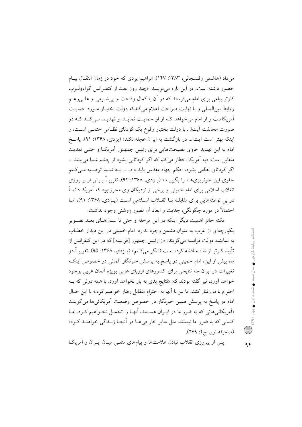میداد (هاشمی رفسنجانی، ۱۳۸۳: ۱۴۷). ابراهیم یزدی که خود در زمان انتقـال پیـام حضور داشته است، در این باره می نویسد: «چند روز بعـد از کنفـرانس گوادولـوپ کارتر پیامی برای امام میفرستد که در آن با کمال وقاحت و بی شـرمی و علـی(غـم روابط بین المللی و با نهایت صراحت اعلام می کندکه دولت بختیـار مـورد حمایـت آمریکاست و از امام می خواهد کـه از او حمایـت نمایـد. و تهدیـد مـی کنـد کـه در صورت مخالفت آیتا… با دولت بختیار وقوع یک کودتای نظـامی حتمـی اســت، و اینکه بهتر است آیتا... در بازگشت به ایران عجله نکند» (یزدی، ۱۳۶۸: ۹۱). پاسخ امام به این تهدید حاوی نصیحتهایی برای رئیس جمهـور آمریکـا و حتـی تهدیـد متقابل است: «به اَمريكا اخطار مي كنم كه اگر كودتايي بشود از چشم شما مي بينند.... اگر کودتای نظامی بشود، حکم جهاد مقدس باید داد...... بـه شـما توصـیه مـی کـنم جلوی این خونریزی هــا را بگیریــد» (پــزدی، ۱۳۶۸: ۹۴). تقریبـاً پــیش از پیــروزی انقلاب اسلامی برای امام خمینی و برخی از نزدیکان وی محرز بود که آمریکا دائمـاً در پی توطئههایی برای مقابلـه بـا انقــلاب اسـلامی اسـت (پــزدی، ۱۳۶۸: ۹۱)، امـا احتمالاً در مورد چگونگی، جدّیت و ابعاد اَن تصور روشنی وجود نداشت.

نکته حائز اهمیت دیگر اینکه در این مرحله و حتی تا ســال۱صای بعــد تصــویر یکپارچهای از غرب به عنوان دشمن وجود ندارد. امام خمینی در این دیدار خطـاب به نماینده دولت فرانسه می گویند: «از رئیس جمهور [فرانسه] که در این کنفرانس از تأييد كارتر از شاه مناقشه كرده است تشكر مى كنم» (يـزدى، ١٣۶٨: ٩۵). تقريبـاً دو ماه پیش از این، امام خمینی در پاسخ به پرسش خبرنگار آلمانی در خصوص اینکـه تغییرات در ایران چه نتایجی برای کشورهای اروپای غربی بویژه آلمان غربی بوجود خواهد اَورد، نیز گفته بودند که: «نتایج بدی به بار نخواهد اَورد. با همه دول<sub>ی</sub> که بــه احترام با ما رفتار كنند، ما نيز با آنها به احترام متقابل رفتار خواهيم كرد.» با اين حــال امام در پاسخ به پرسش همین خبرنگار در خصوص وضعیت آمریکائیها میگوینـد «اَمریکائیهائی که به ضرر ما در ایـران هسـتند، اَنهـا را تحمـل نخـواهیم کـرد. امـا کسانی که به ضرر ما نیستند، مثل سایر خارجی هــا در اَنجــا زنــدگی خواهنــد کــرد» (صحيفه نور، ج۲: ۲۷۹).

یس از پیروزی انقلاب تبادل علامتها و پیامهای منفـی میـان ایــران و آمریکــا

 $96$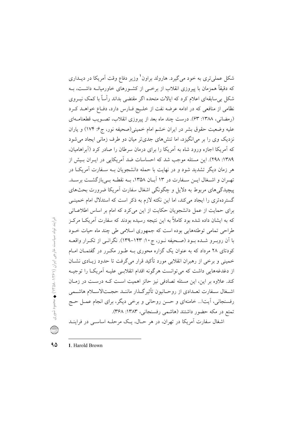شکل عملیتری به خود میگیرد. هارولد براون<sup>۱</sup> وزیر دفاع وقت آمریکا در دیــداری که دقیقاً همزمان با پیروزی انقلاب از برخــی از کشــورهای خاورمیانــه داشــت، بــه شکل بی سابقهای اعلام کرد که ایالات متحده اگر مقتضی بداند رأساً با کمک نیــروی نظامی از منافعی که در ادامه عرضه نفت از خلیج فـارس دارد، دفـاع خواهــد کــرد (رمضانی، ۱۳۸۸: ۶۳). درست چند ماه بعد از پیروزی انقلاب، تصـویب قطعنامـهای عليه وضعيت حقوق بشر در ايران خشم امام خميني(صحيفه نور، ج۶: ۱۷۴) و ياران نزدیک وی را بر می|نگیزد، اما تنشهای جدیتر میان دو طرف زمانی ایجاد می شود که آمریکا اجازه ورود شاه به آمریکا را برای درمان سرطان را صادر کرد (آبراهامیان، ١٣٨٩: ٢٩٨). اين مسئله موجب شد كه احساسات ضد آمريكايي در ايبران بيش از هر زمان دیگر تشدید شود و در نهایت با حمله دانشجویان بـه سـفارت آمریکــا در تهـران و اشـغال ايــن سـفارت در ١٣ آبــان ١٣۵٨، بــه نقطــه بــي بازگشــت برســد. پیچیدگی های مربوط به دلایل و چگونگی اشغال سفارت آمریکا ضرورت بحثهای گستردهتری را ایجاد می کند، اما این نکته لازم به ذکر است که استدلال امام خمینـی برای حمایت از عمل دانشجویان حکایت از این می کرد که امام بر اساس اطلاعـاتی که به ایشان داده شده بود کاملاً به این نتیجه رسیده بودند که سفارت آمریکــا مرکــز طراحی تمامی توطئههایی بوده است که جمهوری اسلامی طی چند ماه حیات خــود با اَن روبـرو شـده بـود (صـحيفه نـور، ج١٠: ١۴٣-١٣٩). نگرانـي از تكـرار واقعــه کودتای ۲۸ مرداد که به عنوان یک گزاره محوری بـه طـور مکـرر در گفتمـان امـام خمینی و برخی از رهبران انقلابی مورد تأکید قرار می گرفت تا حدود زیبادی نشبان از دغدغههایی داشت که می توانست هرگونه اقدام انقلابـی علیـه آمریکـا را توجیـه کند. علاوه بر این، این مسئله تصادفی نیز حائز اهمیت است کـه درسـت در زمـان اشــغال ســفارت تعــدادي از روحــانيون تأثير گــذار ماننــد حجــتالاســلام هاشــمي رفسنجانی، آیتا... خامنهای و حسن روحانی و برخی دیگر، برای انجام عمـل حـج تمتع در مکه حضور داشتند (هاشمی رفسنجانی، ۱۳۸۳: ۳۶۸). اشغال سفارت آمریکا در تهران، در هر حـال، یـک مرحلـه اساســی در فراینــد

فرآيند تولد سيادست خارجي ايران (١٤/٥/١٤) معموم شوري. C

۹۵ 1. Harold Brown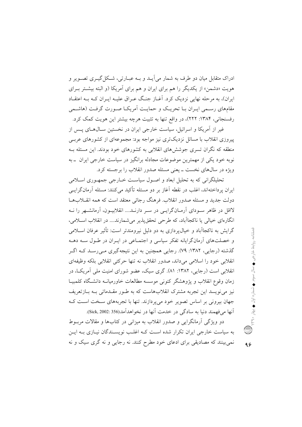ادراک متقابل میان دو طرف به شمار می آیــد و بــه عبــارتی، شــکل گیــری تصــویر و هویت «دشمن» از یکدیگر را هم برای ایران و هم برای آمریکا (و البته بیشتر بـرای ایران)، به مرحله نهایی نزدیک کرد. آغــاز جنـگ عــراق علیــه ایــران کــه بــه اعتقــاد مقامهای رسمی ایبران بیا تحریک و حمایت آمریکیا صورت گرفت (هاشیمی رفسنجانی، ۱۳۸۴: ۲۲۲)، در واقع تنها به تثبیت هرچه بیشتر این هویت کمک کرد.

غیر از آمریکا و اسرائیل، سیاست خارجی ایران در نخستین سـال۵هـای پـس از پیروزی انقلاب با مسائل نزدیکتری نیز مواجه بود: مجموعهای از کشورهای عربے منطقه که نگران تسری جوششهای انقلابی به کشورهای خود بودند. این مسئله بـه نوبه خود یکی از مهمترین موضوعات مجادله برانگیز در سیاست خارجی ایران پ به ویژه در سالهای نخست ـ بعنی مسئله صدور انقلاب را برجسته کرد.

تحلیلگرانی که به تحلیل ابعاد و اصـول سیاسـت خــارجی جمهـوری اسـلامی ایران پرداختهاند، اغلب در نقطه آغاز بر دو مسئله تأکید می کنند: مسئله آرمانگرایسی دولت جدید و مسئله صدور انقلاب فرهنگ رجائے معتقد است که همه انقبلابها لااقل در ظاهر سـودای آرمـانگرایـی در سـر دارنــد.... انقلابیـون، آرمانشــهر را نــه انگارهای خیالی یا ناکجاآباد، که طرحی تحقق پذیر می شمارند.... در انقلاب اسـلامی، گرایش به ناکجاآباد و خیال پردازی به دو دلیل نیرومندتر است: تأثیر عرفان اسـلامی و خصلتهای آرمانگرایانه تفکر سیاسی و اجتمـاعی در ایـران در طـول سـه دهـه گذشته (رجایی، ۱۳۸۲: ۷۹). رجایی همچنین به این نتیجهگیری مـی(سـد کـه اگـر انقلابي خود را اسلامي مي داند، صدور انقلاب نه تنها حركتي انقلابي بلكه وظيفهاي انقلابی است (رجایی، ۱۳۸۲: ۸۱). گری سیک، عضو شورای امنیت ملی آمریک) در زمان وقوع انقلاب و پژوهشگر کنونی موسسه مطالعات خاورمیانــه دانشـگاه کلمبیــا نیز می نویسد این تجربه مشترک انقلابهاست که به طـور مقـدماتی بـه بـازتعریف جهان بیرونی بر اساس تصویر خود میپردازند. تنها با تجربههای سخت است ک آنها مي فهمند دنيا به سادگي در خدمت آنها در نخواهدآمد(356 :Sick, 2002).

دو ویژگی آرمانگرایی و صدور انقلاب به میزانی در کتابها و مقالات مربـوط به سیاست خارجی ایران تکرار شده است کـه اغلـب نویسـندگان نیـازی بـه ایـن نمي بينند كه مصاديقي براي ادعاى خود مطرح كنند. نه رجايي و نه گري سيك و نه

 $95$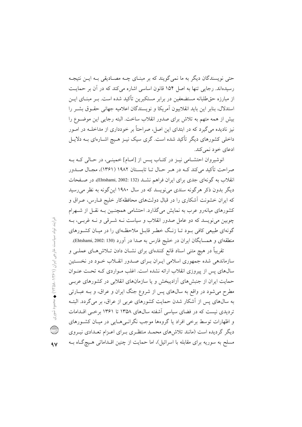حتی نویسندگان دیگر به ما نمی گویند که بر مبنـای چــه مصــادیقی بــه ایــن نتیجــه رسیدهاند. رجایی تنها به اصل ۱۵۴ قانون اساسی اشاره می کند که در آن بر حمایت از مبارزه حقطلبانه مستضعفین در برابر مستکبرین تأکید شده است. بــر مبنــای ایــن استدلال، بنایر این باید انقلابیون آمریکا و نویسندگان اعلامیه جهانی حقیوق پشیر را بيش از همه متهم به تلاش براي صدور انقلاب ساخت. البته رجايبي اين موضـوع را نیز نادیده میگیرد که در ابتدای این اصل، صراحتاً بر خودداری از مداخلـه در امـور داخلی کشورهای دیگر تأکید شده است. گری سیک نیـز هـیچ اشـارهای بـه دلایـل ادعای خود نمی کند.

انوشیروان احتشامی نیـز در کتـاب پـس از [امـام] خمینـی، در حـالی کـه بـه صراحت تأکید می کند کـه در هـر حـال تـا تابسـتان ۱۹۸۲ (۱۳۶۱)، مجـال صـدور انقلاب به گونهای جدی برای ایران فراهم نشـد (Ehtshami, 2002: 132)، در صـفحات دیگر بدون ذکر هرگونه سندی می نویسد که در سال ۱۹۸۰ این گونه به نظر می رسید که ایران خشونت آشکاری را در قبال دولتهای محافظهکار خلیج فـارس، عـراق و کشورهای میانهرو عرب به نمایش می گذارد. احتشامی همچنـین بـه نقـل از شـهرام چوبین می نویسد که دو عامل صدور انقلاب و سیاست نــه شــرقی و نــه غربــی، بــه گونهای طبیعی کافی بود تـا زنـگ خطـر قابـل ملاحظـهای را در میـان کشـورهای منطقهای و همسایگان ایران در خلیج فارس به صدا در آورد (Ehtshami, 2002: 130).

تقریباً در هیچ متنی اسناد قانع کنندهای برای نشـان دادن تـلاش۵مـای عملـی و سازماندهی شده جمهوری اسلامی ایـران بـرای صـدور انقــلاب خــود در نخســتین سال های پس از پیروزی انقلاب ارائه نشده است. اغلب مـواردی کـه تحـت عنـوان حمایت ایران از جنبشهای آزادیبخش و یا سازمانهای انقلابی در کشورهای عربـی مطرح میشود در واقع به سال0های پس از شروع جنگ ایران و عراق، و بــه عبــارتی به سال های پس از آشکار شدن حمایت کشورهای عربی از عراق، بر میگردد. البتـه تردیدی نیست که در فضای سیاسی آشفته سالهای ۱۳۵۸ تا ۱۳۶۱ برخبی اقلدامات و اظهارات توسط برخی افراد یا گروهها موجب نگرانبی هـایی در میـان کشـورهای دیگر گردیده است (مانند تلاش های محمـد منتظـری بـرای اعـزام تعـدادی نیـروی مسلح به سوریه برای مقابله با اسرائیل)، اما حمایت از چنین اقـداماتی هـیچ گـاه بـه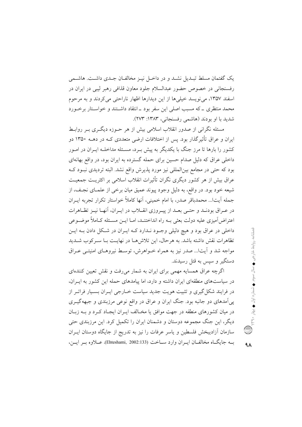یک گفتمان مسلط تبـدیل نشـد و در داخـل نیـز مخالفـان جـدی داشـت. هاشـمی رفسنجاني در خصوص حضور عبدالسلام جلود معاون قذافي رهبر ليبي در ايران در اسفند ۱۳۵۷، می نویسد خیلیها از این دیدارها اظهار ناراحتی می کردند و به مرحوم محمد منتظری ــ که مسبب اصلی این سفر بود ــ انتقاد داشــتند و خواســتار برخــورد شدید با او بودند (هاشمی رفسنجانی، ۱۳۸۳: ۲۷۳).

مسئله نگرانی از صدور انقلاب اسلامی بیش از هر حـوزه دیگـری بـر روابـط ایران و عراق تأثیر گذار بود. پس از اختلافات ارضی متعددی کـه در دهــه ۱۳۵۰ دو کشور را بارها تا مرز جنگ با یکدیگر به پیش بـرد، مسـئله مداخلــه ایــران در امــور داخلی عراق که دلیل صدام حسین برای حمله گسترده به ایران بود، در واقع بهانهای بود که حتی در مجامع بین|لمللی نیز مورد پذیرش واقع نشد. البته تردیدی نبود کـه عراق بیش از هر کشور دیگری نگران تأثیرات انقلاب اسلامی بر اکثریت جمعیت شیعه خود بود. در واقع، به دلیل وجود پیوند عمیق میان برخی از علمـای نجـف، از جمله آيتا... محمدباقر صدر، با امام خميني، آنها كاملاً خواستار تكرار تجربه ايـران در عـراق بودنــد و حتــى بعــد از پيــروزي انقــلاب در ايــران، أنهــا نيــز تظــاهرات اعتراض آمیزی علیه دولت بعثی بـه راه انداختنـد، امـا ایــن مسـئله کــاملاً موضـوعی داخلی در عراق بود و هیچ دلیلی وجـود نـدارد کـه ایـران در شـکل دادن بـه ایـن تظاهرات نقش داشته باشد. به هرحال، این تلاشها در نهایت بـا سـرکوب شـدید مواجه شد و آیتا... صدر نیز به همراه خـواهرش، توسـط نیروهـای امنیتـی عـراق دستگیر و سیس به قتل رسیدند.

اگرچه عراق همسایه مهمی برای ایران به شمار میرفت و نقش تعیین کنندهای در سیاستهای منطقهای ایران داشته و دارد، اما پیامدهای حمله این کشور به ایـران، در فرایند شکل گیری و تثبیت هویت جدید سیاست خـارجی ایـران بسـیار فراتـر از پی آمدهای دو جانبه بود. جنگ ایران و عراق در واقع نوعی مرزبندی و جبهه گیـری در میان کشورهای منطقه در جهت موافق یا مخـالف ایـران ایجـاد کـرد و بــه زبـان دیگر، این جنگ مجموعه دوستان و دشمنان ایران را تکمیل کرد. این مرزبندی حتی سازمان آزادیبخش فلسطین و یاسر عرفات را نیز به تدریج از جایگاه دوستان ایــران بـه جايگـاه مخالفـان ايـران وارد ســاخت (Ehteshami, 2002:133). عــلاوه بــر ايــن،

 $4<sub>A</sub>$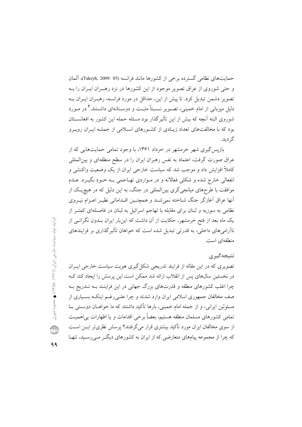حمايتهاى نظامى گسترده برخى از كشورها مانند فرانسه (85 :2009 ,Takeyh) آلمان و حتى شوروى از عراق تصوير موجود از اين كشورها در نزد رهبـران ايـران را بـه تصویر دشمن تبدیل کرد. تا پیش از این، حداقل در مورد فرانسه، رهبـران ایـران بـه دلیل میزبانی از امام خمینی، تصبویر نسبتاً مثبت و دوستانهای داشتند. گردر میورد شوروی البته آنچه که بیش از این تأثیرگذار بود مسئله حمله این کشور به افغانســتان بود که با مخالفتهای تعداد زیبادی از کشورهای اسلامی از جملـه ایـران روبـرو گر ديد.

بازیس گیری شهر خرمشهر در خرداد ۱۳۶۱، با وجود تمامی حمایتهایی که از عراق صورت گرفت، اعتماد به نفس رهبران ایران را در سطح منطقهای و بین|لمللی کاملاً افزایش داد و موجب شد که سیاست خارجی ایران از یک وضعیت واکنشی و انفعالي خارج شده و شکلي فعالانه و در مـواردي تهـاجمي بـه خـود بگيـرد. عـدم موافقت با طرحهای میانجیگری بینالمللی در جنگ، به این دلیل که در هیچیک از أنها عراق أغازگر جنگ شناخته نمی شـد و همچنـین اقـداماتی نظیـر اعـزام نیــروی نظامی به سوریه و لبنان برای مقابله با تهاجم اسرائیل به لبنان در فاصـلهای کمتـر از یک ماه بعد از فتح خرمشهر، حکایت از آن داشت که اینبار ایران بــدون نگرانــی از ناآرامیهای داخلی، به قدرتی تبدیل شده است که خواهان تأثیر گذاری بر فرایندهای منطقهای است.

## نتىجەگىرى

تصویری که در این مقاله از فرایند تدریجی شکل گیری هویت سیاست خارجی ایـران در نخستین سال@ای پس از انقلاب ارائه شد ممکن است این پرسش را ایجاد کند ک چرا اغلب کشورهای منطقه و قدرتهای بزرگ جهانی در این فراینـد بـه تــدریج بــه صف مخالفان جمهوری اسلامی ایران وارد شدند و چرا علـی رغــم اینکــه بســیاری از مسئولین ایرانی، و از جمله امام خمینی، بارها تأکید داشتند که ما خواهــان دوســتی بــا تمامی کشورهای مسلمان منطقه هستیم، بعضاً برخی اقدامات و یا اظهارات بی|همیـت از سوی مخالفان ایران مورد تأکید بیشتری قرار میگرفتند؟ پرسش نظریتر ایــن اســت که چرا از مجموعه پیامهای متعارضی که از ایران به کشورهای دیگ مـی رسـید، تنهـا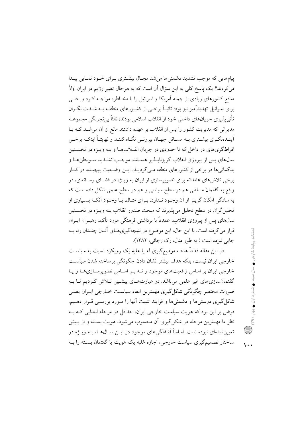پیامهایی که موجب تشدید دشمنیها می شد مجبال بیشتری بیرای خبود نمبایی پیندا می کردند؟ یک پاسخ کلی به این سؤال آن است که به هرحال تغییر رژیم در ایران اولاً منافع کشورهای زیادی از جمله آمریکا و اسرائیل را با مخـاطره مواجــه کــرد و حتــی برای اسرائیل تهدیدآمیز نیز بود؛ ثانیـاً برخــی از کشــورهای منطقــه بــه شــدت نگــران تأثيريذيري جريانهاي داخلي خود از انقلاب اسلامي بودند؛ ثالثاً بي تجربگي مجموعــه مدیرانی که مدیریت کشور را پس از انقلاب بر عهده داشتند مانع از آن می شـد کـه بـا اً ینــدهنگــری بیشــتری بــه مســائل جهــان بیرونــی نگــاه کننــد و نهایتــاً اینکــه برخــی افراطگریهای در داخل که تا حدودی در جریان انقــلابهــا و بــه ویــژه در نخســتین سالهای پس از پیروزی انقلاب گریزناپیذیر هستند، موجب تشیدید سیوءظن هیا و بدگمانی ها در برخی از کشورهای منطقه مـیگردیــد. ایــن وضــعیت پیچیــده در کنــار برخی تلاش های عامدانه برای تصویرسازی از ایران به ویـژه در فضـای رسـانهای، در واقع به گفتمان مسلطی هم در سطح سیاسی و هم در سطح علمی شکل داده است که به سادگی امکان گریـز از آن وجـود نـدارد. بـرای مثـال، بـا وجـود آنکـه بسـیاری از تحلیل گران در سطح تحلیل می پذیرند که مبحث صدور انقلاب بــه ویـــژه در نخســـتین سال0های پس از پیروزی انقلاب، عمدتاً با برداشتی فرهنگی مورد تأکید رهبـران ایــران قرار می گرفته است، با این حال، این موضوع در نتیجه گیری هـای آنــان چنــدان راه بــه جایی نبرده است ( به طور مثال، رک رجائی، ۱۳۸۲).

در این مقاله قطعاً هدف موضع گیری له یا علیه یک رویکرد نسبت به سیاسـت خارجی ایران نیست، بلکه هدف بیشتر نشان دادن چگونگی برساخته شدن سیاست خارجی ایران بر اساس واقعیتهای موجود و نـه بـر اسـاس تصویرسـازیهـا و پـا گفتمانسازیهای غیر علمی میباشد. در عبارتهـای پیشـین تـلاش کـردیم تـا بـه صورت مختصر چگونگی شکل گیری مهمترین ابعاد سیاست خــارجی ایــران یعنــی شکل گیری دوستیها و دشمنیها و فرایند تثبیت آنها را مـورد بررسـی قـرار دهـیم. فرض بر این بود که هویت سیاست خارجی ایران، حداقل در مرحله ابتدایی کـه بـه نظر ما مهمترین مرحله در شکل گیری آن محسوب می شود، هویت بسته و از پـیش تعیین شدهای نبوده است. اساساً اَشفتگی های موجود در ایــن ســال۱هــا، بــه ویـــژه در ساختار تصمیم گیری سیاست خارجی، اجازه غلبه یک هویت یا گفتمان بسته را بــه

 $\sqrt{10}$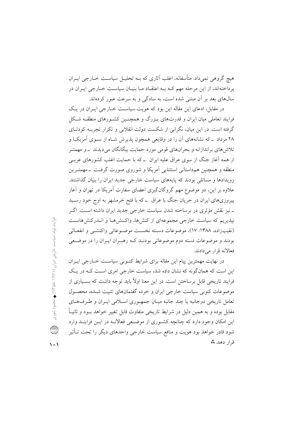هیچ گروهی نمیداد. متأسفانه، اغلب آثاری که بــه تحلیــل سیاســت خــارجی ایــران یرداختهاند، از این مرحله مهم کـه بـه اعتقـاد مـا بنیـان سیاسـت خـارجی ایـران در سالهای بعد بر آن مبتنی شده است، به سادگی و به سرعت عبور کردهاند.

در مقابل، ادعای این مقاله این بود که هویت سیاست خیارجی ایبران در یک فرایند تعاملی میان ایران و قدرتهای بـزرگ و همچنـین کشـورهای منطقـه شـکل گرفته است. در این میان، نگرانی از شکست دولت انقلابی و تکرار تجربـه کودتــای ۲۸ مرداد \_که نشانههای آن را در وقایعی همچون پذیرش شـاه از سـوی آمریکـا و تلاش های براندازانه و بحرانهای قومی مورد حمایت بیگانگان می دیدند \_و مهمتـر از همه آغاز جنگ از سوی عراق علیه ایران \_که با حمایت اغلب کشورهای عربے منطقه و همچنین همداستانی استثنایی آمریکا و شوروی صورت گرفـت \_مهمتـرین رویدادها و مسائلی بودند که پایههای سیاست خارجی جدید ایران را بنیان گذاشتند. علاوه بر این، دو موضوع مهم گروگانگیری اعضای سفارت آمریکا در تهران و آغاز پیروزیهای ایران در جریان جنگ با عراق \_ که با فتح خرمشهر به اوج خود رسـید ـ نیز نقش مؤثری در برساخته شدن سیاست خارجی جدید ایران داشته اسـت. اگـر بیذیریم که سیاست خارجی مجموعهای از کنشها، واکـنش۵مـا و انــدرکنشهاسـت (نقيب زاده، ١٣٨٨: ١٧)، موضوعات دسته نخست موضـوعاتي واكنشـي و انفعـالي بودند و موضوعات دسته دوم موضوعاتی بودنـد کـه رهبـران ایـران را در موضـعی فعالانه قرار می دادند.

در نهایت مهمترین پیام این مقاله برای شرایط کنـونی سیاسـت خــارجی ایــران این است که همانگونه که نشان داده شد، سیاست خارجی امری است کـه در یـک فرایند تاریخی قابل برساختن است. در این معنا اولاً باید توجه داشت که بسـیاری از موضوعات کنونی سیاست خارجی ایران و خرده گفتمانهای تثبیت شیده، محصول تعامل تاریخی دوجانبه یا چند جانبه میـان جمهـوری اسـلامی ایـران و طـرفهـای مقابل بوده و به همین دلیل در شرایط تاریخی متفاوت قابل تغییر خواهد بــود و ثانیــاً این امکان وجود دارد که چنانچه کشـوری از موضـعی فعالانــه در ایــن فراینــد وارد شود قادر خواهد بود هويت و منافع سياست خارجي واحدهاي ديگر را تحت تــأثير قرار دهد.\*\*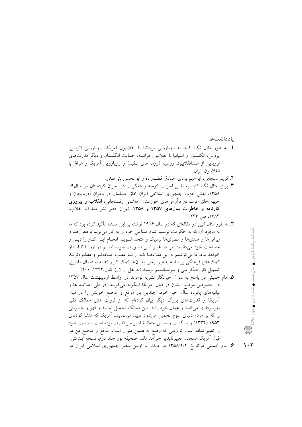بادداشتها

- 1. به طور مثال نگاه کنید به رویارویی بریتانیا با انقلابیون آمریکا، رویارویی اتریش، پروس، انگلستان و اسپانیا با انقلابیون فرانسه، حمایت انگلستان و دیگر قدرتهای اروپایی از ضدانقلابیون روسیه (روسهای سفید) و رویارویی آمریکا و عراق با انقلابيون ايران.
	- ۲. کریم سنجابی، ابراهیم یزدی، صادق قطبزاده و ابوالحسن بنی صدر.
- ۰. برای مثال نگاه کنید به نقش احزاب کومله و دمکرات در بحران کردستان در سال۹-۱۳۵۸، نقش حزب جمهوری اسلامی ایران خلق مسلمان در بحران أذربایجان و جبهه خلق عرب در ناآرامیهای خوزستان. هاشمی رفسنجانی، **انقلاب و پیروزی** کارنامه و خاطرات سالهای ۱۳۵۷ و ۱۳۵۸، تهران: دفتر نشر معارف انقلاب، ١٣٨٣، ص ٢٣٣.
- ۴. به طور مثال لنین در مقالهای که در سال ۱۹۱۶ نوشته بر این مسئله تأکید کرده بود که ما به مجرد آن که به حکومت برسیم تمام مساعی خود را به کار می بریم با مغول هـا و ایرانی ها و هندیها و مصریها نزدیک و متحد شـویم. انجـام ایــن کــار را دیــن و مصلحت خود میدانیم؛ زیرا در غیـر ایـن صـورت سوسیالیســم در اروپــا ناپایــدار خواهد بود. ما می کوشیم به این ملتهـا کـه از مـا عقـب افتـادهتـر و مظلـومترنـد کمکهای فرهنگی بی شائبه بدهیم. یعنی به آنها کمک کنیم که به استعمال ماشین، تسهیل کار، دمکراسی و سوسیالیسم برسند (به نقل از: ژرژ کنان،۱۳۴۴: ۲۰۰).
- ۵. امام خمینی در پاسخ به سوال خبرنگار نشریه لوموند در اواسط اردیبهشت سال ۱۳۵۷ در خصوص موضع ایشان در قبال أمریکا اینگونه میگویند: در طی اعلامیه ها و بیانیههای پانزده سال اخیر خود، چندین بار موقع و موضع خویش را در قبال آمریکا و قدرتهای بزرگ دیگر بیان کردهام که از ثروت های ممالک فقیر بهرهبرداری میکنند و عمال خود را در این ممالک تحمیل نمایند و قهر و خشونتی را که بر مردم دنیای سوم تحمیل میشود تایید میٖنمایند. آمریکا که منشا کودتای ۱۹۵۳ (۱۳۳۲) و بازگشت و سپس حفظ شاه بر سر قدرت بوده است سیاست خود را تغییر نداده است تا وقتی که وضع به همین منوال است، موقع و موضع من در قبال أمريكا همچنان تغييرناپذير خواهد ماند. صحيفه نور جلد دوم، نسخه اينترنتي. ۶. امام خمینی درتاریخ ۱۳۵۸/۲/۲ در دیدار با اولین سفیر جمهوری اسلامی ایران در

فصلنامه روابط خارجى ♦ سال سوم ♦ شماره اول ♦ بهار ٣٩٠٠ ( الله )

 $\lambda \cdot 7$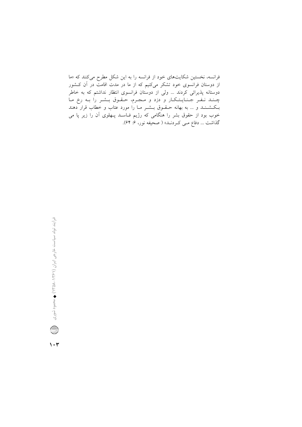فرانسه، نخستین شکایتهای خود از فرانسه را به این شکل مطرح میکنند که «ما از دوستان فرانسوی خود تشکر میکنیم که از ما در مدت اقامت در آن کــشور دوستانه پذیرائی کردند … ولی از دوستان فرانسوی انتظار نداشتم که به خاطر چند نفر جنایتکار و دزد و مجرم، حقوق بشر را به رخ ما بـکـشــنـد و … به بهانه حــقــوق بــشــر مــا را مورد عتاب و خطاب قرار دهند خوب بود از حقوق بشر را هنگامی که رژیم فـاسـد پـهلوی آن را زیر پا می گذاشت ... دفاع مـي كـردنـد» ( صحيفه نور، ۶: ۶۴).

 $\mathcal{N} \cdot \mathcal{Y}$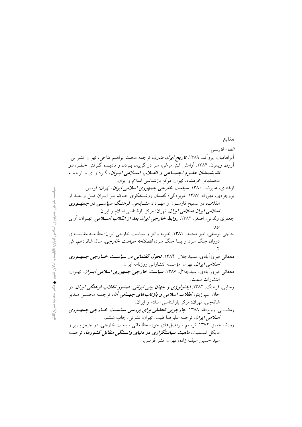## الف- فارسي آبراهامیان، پروآند. ۱۳۸۹. *تاریخ ایران مدرن*، ترجمه محمد ابراهیم فتاحی، تهران: نشر نبی. آرون, ریمون. ۱۳۸۴. آرامش شتر مرغی؛ سر در گریبان بــردن و نادیــده گــرفتن خطــر، **در** *اندیشمندان علـوم اجتمـاعی و انقــلاب اســلامی ایــران*، گـردآوری و ترجمـه محمدباقر خرمشاد، تھران: مرکز بازشناسی اسلام و ایران. ازغندي، عليرضا. ١٣٨٠. **سي***است خارجي جمهوري اسلامي ايران***،** تهران: قومس. بروجردی، مهرزاد. ۱۳۸۷. غربزدگی؛ گفتمان روشـنفکری حـاکم بـر ایـران قبـل و بعــد از انقلاب، در سمیح فارســون و مهــرداد مشــایخی، *فرهنــگ سیاســـی در جمهــوری* **اسلا***می ایران اسلامی ایران***، ت**هران: مرکز بازشناسی اسلام و ایران. جعفری ولدانی، اصغر. ۱۳۸۲. *روابط خارجی ایران بعد از انقلاب اســلامی*. تهـران: آوای نو ر. حاجي يوسفي، امير محمد. ١٣٨١. نظريه والتز و سياست خارجي ايران؛ مطالعـه مقايســهاي دوران جنگ سرد و پسا جنگ سرد، *فصلنامه سیاست خارجی*، سال شانزدهم، ش دهقان<sub>ی</sub> فیروزآبادی، سـیدجلال. ۱۳۸۴. *تحول گفتمانی در سیاســت خــارجی جمهــوری* اسلامی ایران. تهران: مؤسسه انتشاراتی روزنامه ایران. دهقانی فیروزآبادی، سیدجلال. ۱۳۸۷. **سی***است خارجی جمهوری اسلامی ایسران.* تهـران: انتشارات سمت. رجایی، فرهنگ. ۱۳۸۲. *ایدئولوژی و جهان بینی ایرانی، صدور انقلاب فرهنگی ایران*، در جان اسپوزیتو، *انقلاب اسلامی و بازتابهای جهــانی آن،* ترجمــه محســن مــدیر شانهچی، تھران: مرکز بازشناسی اسلام و ایران. رمضــانی، روحالله. ۱۳۸۸. **چارچ***وبی تحلیلی برای بررسی سیاســت خــارجی جمهـوری* **/سلا***می ایران.* **ترجمه علیرضا طیب. تهران: نشرنی، چاپ ششم**. روزنا، جیمز. ١٣٧٢. ترسیم سرفصلهای حوزه مطالعاتی سیاست خارجی، در جیمز باربر و مایکل اسـمیت، *ماهیت سیاستگزاری در دنیای وابستگی متقابل کشورها*، ترجمـه سيد حسين سيف زاده، تهران: نشر قومس.

منابع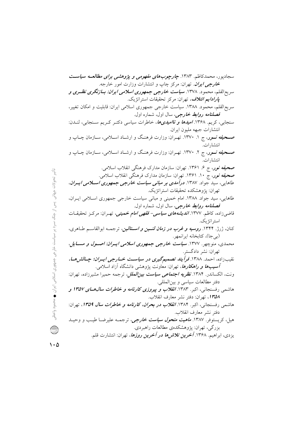تاثیر تحولات جهانی پس از جنگ سرد بر سیاست خارجی جمهوری اسلامی ایران ♦ محمود واعظی

 $\hat{v}$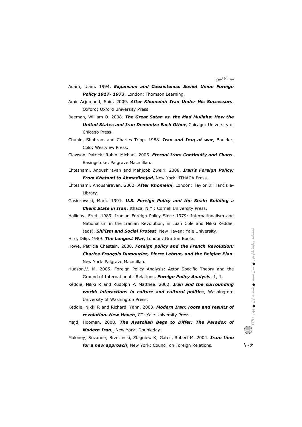ب- *لاتين* 

- Adam, Ulam. 1994. *Expansion and Coexistence: Soviet Union Foreign* Policy 1917-1973, London: Thomson Learning.
- Amir Arjomand, Said. 2009. **After Khomeini: Iran Under His Successors**, Oxford: Oxford University Press. Oxford: Oxford University Press.<br>Beeman, William O. 2008. **The Great Satan vs. the Mad Mullahs: How the**
- **United States and Iran Demonize Each Other**, Chicago: University of Chicago Press. **United States and Iran Demonize Each Other**, Chicago: University of<br>Chicago Press.<br>Chubin, Shahram and Charles Tripp. 1988. **Iran and Iraq at war**, Boulder,
- Colo: Westview Press.
- Colo: Westview Press.<br>Clawson, Patrick; Rubin, Michael. 2005. *Eternal Iran: Continuity and Chaos*, Basingstoke: Palgrave Macmillan.
- Ehteshami, Anoushiravan and Mahjoob Zweiri. 2008. *Iran's Foreign Policy;* **From Khatami to Ahmadinejad, New York: ITHACA Press.**
- Ehteshami, Anoushiravan. 2002. *After Khomeini*, London: Taylor & Francis e-Library.
- Gasiorowski, Mark. 1991. *U.S. Foreign Policy and the Shah: Building a lding* **Client State in Iran**, Ithaca, N.Y.: Cornell University Press.
- Halliday, Fred. 1989. Iranian Foreign Policy Since 1979: Internationalism and Nationalism in the Iranian Revolution, in Juan Cole and Nikki Keddie. (eds), **Shi'ism and Social Protest**, New Haven: Yale University.
- Hiro, Dilip. 1989. **The Longest War**, London: Grafton Books.
- Howe, Patricia Chastain. 2008. Foreign policy and the French Revolution: Patricia Chastain. 2008. **Foreign policy and the French Revolution:**<br>Charles-François Dumouriez, Pierre Lebrun, and the Belgian Plan, New York: Palgrave Macmillan. New York: Palgrave Macmillan.<br>Hudson,V. M. 2005. Foreign Policy Analysis: Actor Specific Theory and the
- Ground of International Relations, *Foreign Policy Analysis*, 1, 1.
- Keddie, Nikki R and Rudolph P. Matthee. 2002. *Iran and the surrounding* world: interactions in culture and cultural politics, Washington: University of Washington Press Press.
- Keddie, Nikki R and Richard, Yann. 2003. *Modern Iran: roots and results of revolution. New Haven* , CT: Yale University Press.
- Majd, Hooman. 2008 008. *The Ayatollah Begs to Differ: The Paradox of Modern Iran*, New York: Doubleday. *sults<br>ndox<br>n: tin*
- Maloney, Suzanne; Brzezinski, Zbigniew K; Gates, Robert M M. 2004. *Iran: time*  **for a new approach**, New York: Council on Foreign Relations. **106**